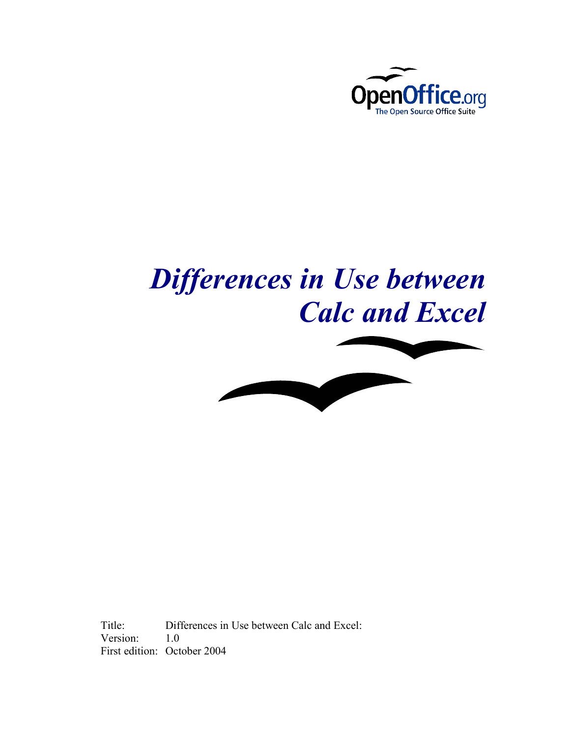

# *Differences in Use between Calc and Excel*



Title: Differences in Use between Calc and Excel: Version: 1.0 First edition: October 2004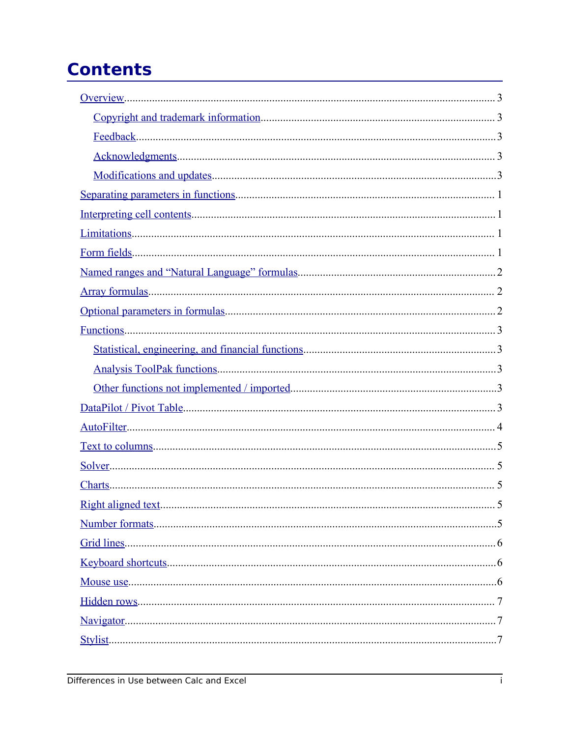## **Contents**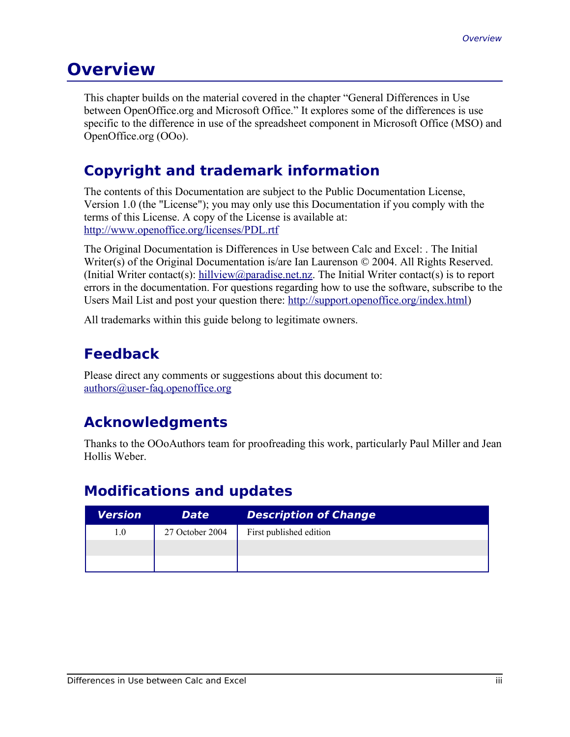#### **Overview**

This chapter builds on the material covered in the chapter "General Differences in Use between OpenOffice.org and Microsoft Office." It explores some of the differences is use specific to the difference in use of the spreadsheet component in Microsoft Office (MSO) and OpenOffice.org (OOo).

#### **Copyright and trademark information**

The contents of this Documentation are subject to the Public Documentation License, Version 1.0 (the "License"); you may only use this Documentation if you comply with the terms of this License. A copy of the License is available at: http://www.openoffice.org/licenses/PDL.rtf

The Original Documentation is Differences in Use between Calc and Excel: . The Initial Writer(s) of the Original Documentation is/are Ian Laurenson © 2004. All Rights Reserved. (Initial Writer contact(s):  $\frac{hillview(\partial paradise.net.nz}{hillview(\partial paradise.net.nz})$ . The Initial Writer contact(s) is to report errors in the documentation. For questions regarding how to use the software, subscribe to the Users Mail List and post your question there: http://support.openoffice.org/index.html)

All trademarks within this guide belong to legitimate owners.

#### **Feedback**

Please direct any comments or suggestions about this document to: authors@user-faq.openoffice.org

#### **Acknowledgments**

Thanks to the OOoAuthors team for proofreading this work, particularly Paul Miller and Jean Hollis Weber.

#### **Modifications and updates**

| Version | <b>Date</b>     | <b>Description of Change</b> |
|---------|-----------------|------------------------------|
| 1.0     | 27 October 2004 | First published edition      |
|         |                 |                              |
|         |                 |                              |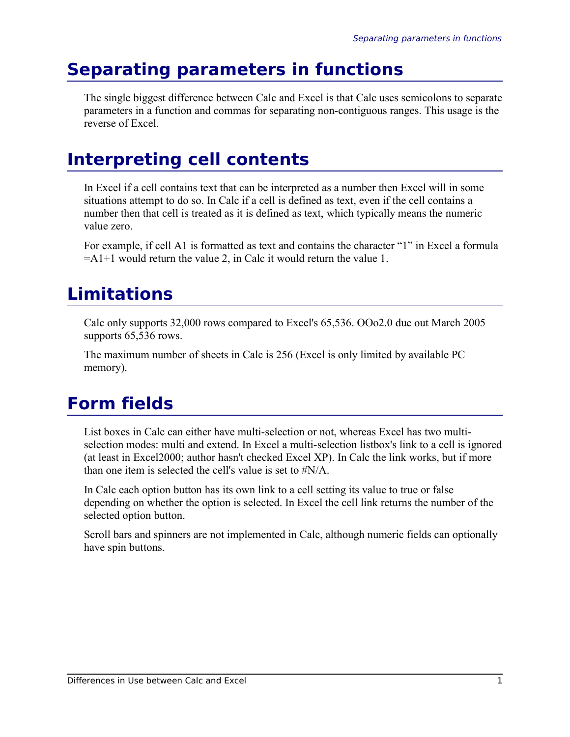## **Separating parameters in functions**

The single biggest difference between Calc and Excel is that Calc uses semicolons to separate parameters in a function and commas for separating non-contiguous ranges. This usage is the reverse of Excel.

### **Interpreting cell contents**

In Excel if a cell contains text that can be interpreted as a number then Excel will in some situations attempt to do so. In Calc if a cell is defined as text, even if the cell contains a number then that cell is treated as it is defined as text, which typically means the numeric value zero.

For example, if cell A1 is formatted as text and contains the character "1" in Excel a formula  $=$ A1+1 would return the value 2, in Calc it would return the value 1.

## **Limitations**

Calc only supports 32,000 rows compared to Excel's 65,536. OOo2.0 due out March 2005 supports 65,536 rows.

The maximum number of sheets in Calc is 256 (Excel is only limited by available PC memory).

## **Form fields**

List boxes in Calc can either have multi-selection or not, whereas Excel has two multiselection modes: multi and extend. In Excel a multi-selection listbox's link to a cell is ignored (at least in Excel2000; author hasn't checked Excel XP). In Calc the link works, but if more than one item is selected the cell's value is set to  $\sharp N/A$ .

In Calc each option button has its own link to a cell setting its value to true or false depending on whether the option is selected. In Excel the cell link returns the number of the selected option button.

Scroll bars and spinners are not implemented in Calc, although numeric fields can optionally have spin buttons.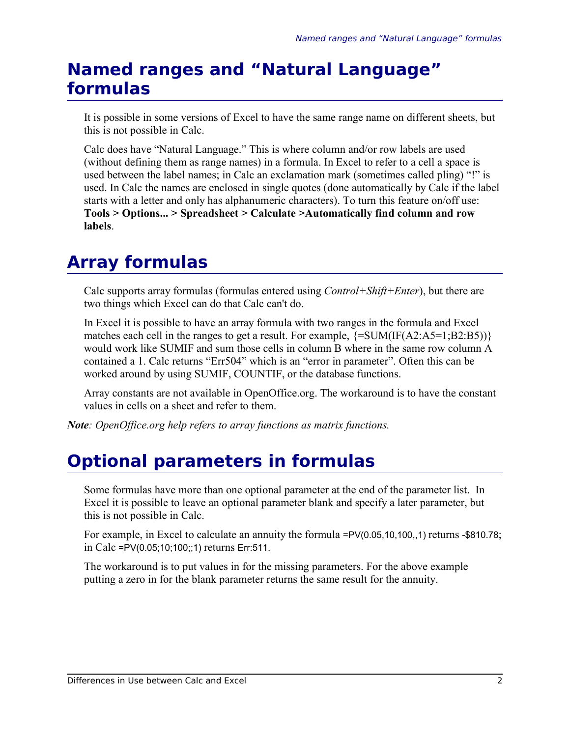### **Named ranges and "Natural Language" formulas**

It is possible in some versions of Excel to have the same range name on different sheets, but this is not possible in Calc.

Calc does have "Natural Language." This is where column and/or row labels are used (without defining them as range names) in a formula. In Excel to refer to a cell a space is used between the label names; in Calc an exclamation mark (sometimes called pling) "!" is used. In Calc the names are enclosed in single quotes (done automatically by Calc if the label starts with a letter and only has alphanumeric characters). To turn this feature on/off use: **Tools > Options... > Spreadsheet > Calculate >Automatically find column and row labels**.

### **Array formulas**

Calc supports array formulas (formulas entered using *Control+Shift+Enter*), but there are two things which Excel can do that Calc can't do.

In Excel it is possible to have an array formula with two ranges in the formula and Excel matches each cell in the ranges to get a result. For example,  $\{=\text{SUM(IF}(A2:A5=1:B2:B5))\}$ would work like SUMIF and sum those cells in column B where in the same row column A contained a 1. Calc returns "Err504" which is an "error in parameter". Often this can be worked around by using SUMIF, COUNTIF, or the database functions.

Array constants are not available in OpenOffice.org. The workaround is to have the constant values in cells on a sheet and refer to them.

*Note: OpenOffice.org help refers to array functions as matrix functions.*

## **Optional parameters in formulas**

Some formulas have more than one optional parameter at the end of the parameter list. In Excel it is possible to leave an optional parameter blank and specify a later parameter, but this is not possible in Calc.

For example, in Excel to calculate an annuity the formula =PV(0.05,10,100,,1) returns -\$810.78; in Calc =PV(0.05;10;100;;1) returns Err:511.

The workaround is to put values in for the missing parameters. For the above example putting a zero in for the blank parameter returns the same result for the annuity.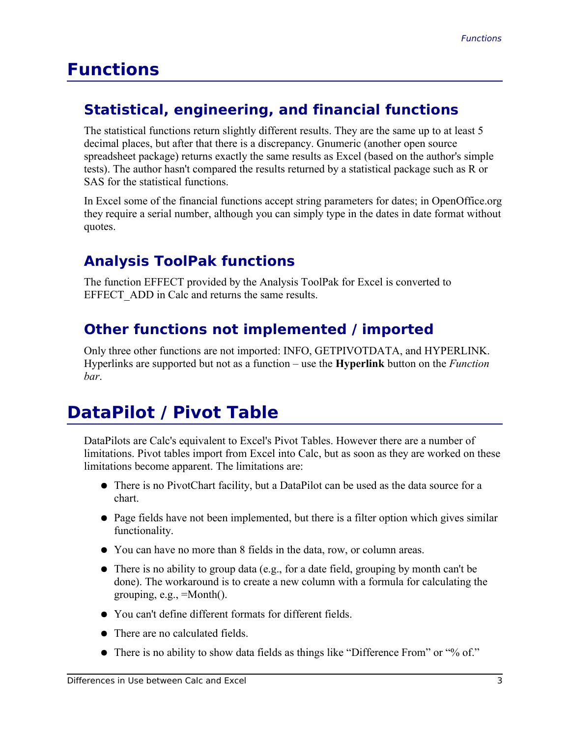### **Functions**

#### **Statistical, engineering, and financial functions**

The statistical functions return slightly different results. They are the same up to at least 5 decimal places, but after that there is a discrepancy. Gnumeric (another open source spreadsheet package) returns exactly the same results as Excel (based on the author's simple tests). The author hasn't compared the results returned by a statistical package such as R or SAS for the statistical functions.

In Excel some of the financial functions accept string parameters for dates; in OpenOffice.org they require a serial number, although you can simply type in the dates in date format without quotes.

#### **Analysis ToolPak functions**

The function EFFECT provided by the Analysis ToolPak for Excel is converted to EFFECT ADD in Calc and returns the same results.

#### **Other functions not implemented / imported**

Only three other functions are not imported: INFO, GETPIVOTDATA, and HYPERLINK. Hyperlinks are supported but not as a function – use the **Hyperlink** button on the *Function bar*.

## **DataPilot / Pivot Table**

DataPilots are Calc's equivalent to Excel's Pivot Tables. However there are a number of limitations. Pivot tables import from Excel into Calc, but as soon as they are worked on these limitations become apparent. The limitations are:

- There is no PivotChart facility, but a DataPilot can be used as the data source for a chart.
- Page fields have not been implemented, but there is a filter option which gives similar functionality.
- You can have no more than 8 fields in the data, row, or column areas.
- There is no ability to group data (e.g., for a date field, grouping by month can't be done). The workaround is to create a new column with a formula for calculating the grouping,  $e.g., =Month()$ .
- You can't define different formats for different fields.
- There are no calculated fields.
- There is no ability to show data fields as things like "Difference From" or "% of."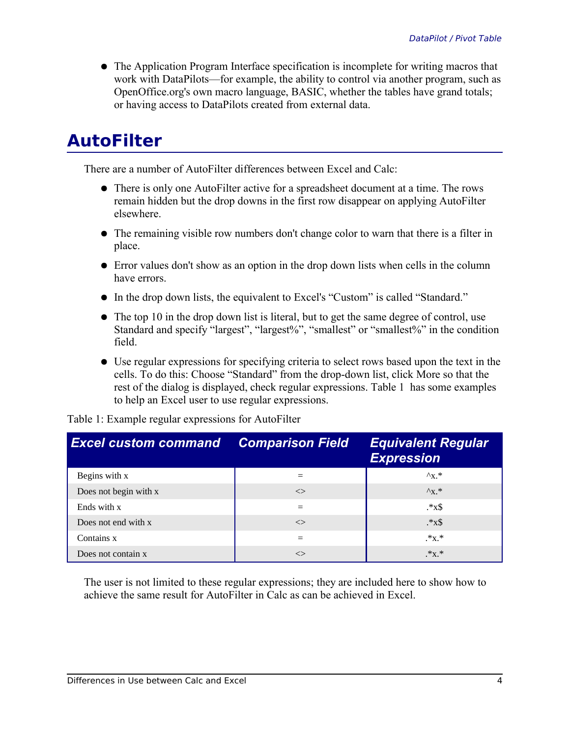• The Application Program Interface specification is incomplete for writing macros that work with DataPilots—for example, the ability to control via another program, such as OpenOffice.org's own macro language, BASIC, whether the tables have grand totals; or having access to DataPilots created from external data.

#### **AutoFilter**

There are a number of AutoFilter differences between Excel and Calc:

- There is only one AutoFilter active for a spreadsheet document at a time. The rows remain hidden but the drop downs in the first row disappear on applying AutoFilter elsewhere.
- The remaining visible row numbers don't change color to warn that there is a filter in place.
- Error values don't show as an option in the drop down lists when cells in the column have errors.
- In the drop down lists, the equivalent to Excel's "Custom" is called "Standard."
- The top 10 in the drop down list is literal, but to get the same degree of control, use Standard and specify "largest", "largest%", "smallest" or "smallest%" in the condition field.
- Use regular expressions for specifying criteria to select rows based upon the text in the cells. To do this: Choose "Standard" from the drop-down list, click More so that the rest of the dialog is displayed, check regular expressions. Table 1 has some examples to help an Excel user to use regular expressions.

| <b>Excel custom command</b> | <b>Comparison Field</b> | <b>Equivalent Regular</b><br><b>Expression</b> |
|-----------------------------|-------------------------|------------------------------------------------|
| Begins with x               |                         | $\Lambda_{\rm X}$ *                            |
| Does not begin with x       | $\ll$                   | $\Lambda_{\rm X}$ *                            |
| Ends with x                 |                         | $.*x$$                                         |
| Does not end with x         | $\ll$                   | $.*x$$                                         |
| Contains x                  |                         | $.*X.*$                                        |
| Does not contain x          | $\ll$                   | $.*X.*$                                        |

Table 1: Example regular expressions for AutoFilter

The user is not limited to these regular expressions; they are included here to show how to achieve the same result for AutoFilter in Calc as can be achieved in Excel.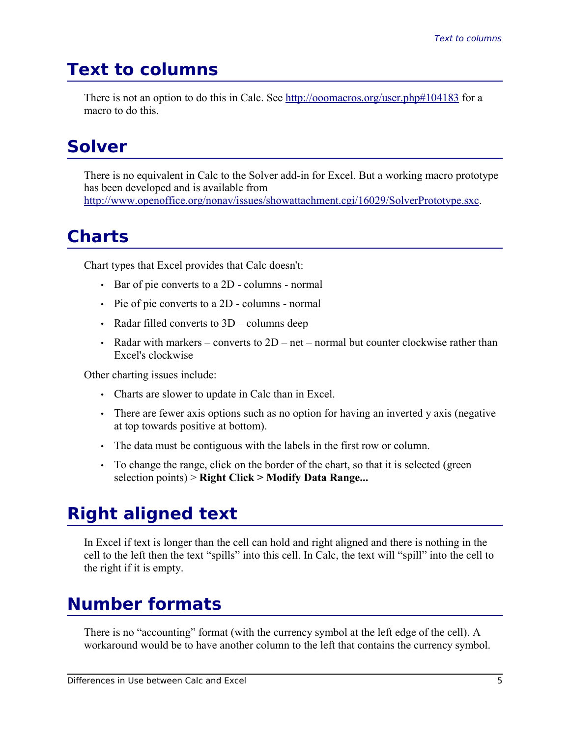### **Text to columns**

There is not an option to do this in Calc. See http://ooomacros.org/user.php#104183 for a macro to do this.

#### **Solver**

There is no equivalent in Calc to the Solver add-in for Excel. But a working macro prototype has been developed and is available from http://www.openoffice.org/nonav/issues/showattachment.cgi/16029/SolverPrototype.sxc.

### **Charts**

Chart types that Excel provides that Calc doesn't:

- Bar of pie converts to a 2D columns normal
- Pie of pie converts to a 2D columns normal
- Radar filled converts to 3D columns deep
- Radar with markers converts to  $2D$  net normal but counter clockwise rather than Excel's clockwise

Other charting issues include:

- Charts are slower to update in Calc than in Excel.
- There are fewer axis options such as no option for having an inverted y axis (negative at top towards positive at bottom).
- The data must be contiguous with the labels in the first row or column.
- To change the range, click on the border of the chart, so that it is selected (green selection points) > **Right Click > Modify Data Range...**

#### **Right aligned text**

In Excel if text is longer than the cell can hold and right aligned and there is nothing in the cell to the left then the text "spills" into this cell. In Calc, the text will "spill" into the cell to the right if it is empty.

## **Number formats**

There is no "accounting" format (with the currency symbol at the left edge of the cell). A workaround would be to have another column to the left that contains the currency symbol.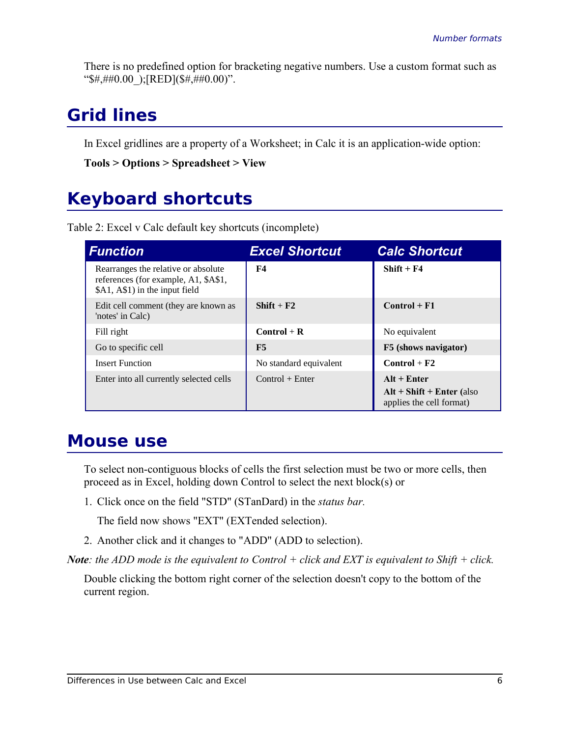There is no predefined option for bracketing negative numbers. Use a custom format such as " $\frac{4}{5}$ #,##0.00 );[RED]( $\frac{4}{5}$ ,##0.00)".

#### **Grid lines**

In Excel gridlines are a property of a Worksheet; in Calc it is an application-wide option:

```
Tools > Options > Spreadsheet > View
```
#### **Keyboard shortcuts**

Table 2: Excel v Calc default key shortcuts (incomplete)

| <b>Function</b>                                                                                               | <b>Excel Shortcut</b>  | <b>Calc Shortcut</b>                                                     |
|---------------------------------------------------------------------------------------------------------------|------------------------|--------------------------------------------------------------------------|
| Rearranges the relative or absolute<br>references (for example, A1, \$A\$1,<br>\$A1, A\$1) in the input field | F4                     | $Shift + F4$                                                             |
| Edit cell comment (they are known as<br>'notes' in Calc)                                                      | $Shift + F2$           | $Control + F1$                                                           |
| Fill right                                                                                                    | $Control + R$          | No equivalent                                                            |
| Go to specific cell                                                                                           | F5                     | F5 (shows navigator)                                                     |
| <b>Insert Function</b>                                                                                        | No standard equivalent | $Control + F2$                                                           |
| Enter into all currently selected cells                                                                       | $Control + Enter$      | $Alt + Enter$<br>$Alt + Shift + Enter$ (also<br>applies the cell format) |

#### **Mouse use**

To select non-contiguous blocks of cells the first selection must be two or more cells, then proceed as in Excel, holding down Control to select the next block(s) or

1. Click once on the field "STD" (STanDard) in the *status bar.*

The field now shows "EXT" (EXTended selection).

2. Another click and it changes to "ADD" (ADD to selection).

*Note: the ADD mode is the equivalent to Control + click and EXT is equivalent to Shift + click.*

Double clicking the bottom right corner of the selection doesn't copy to the bottom of the current region.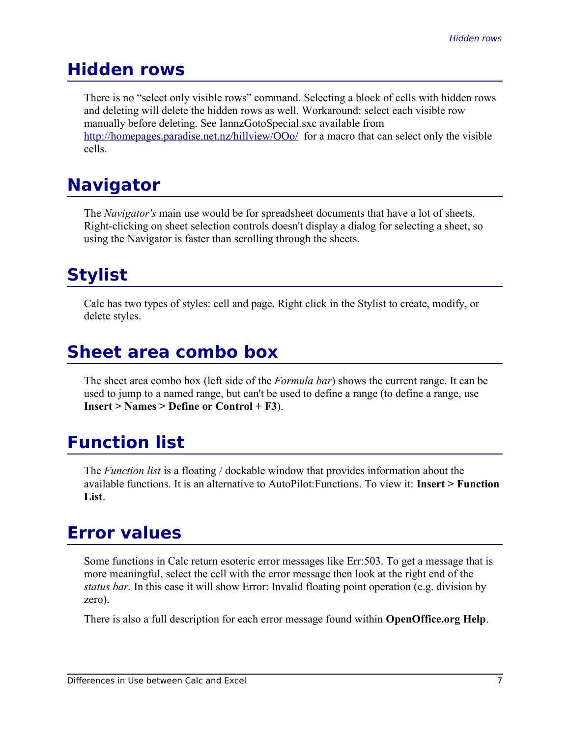#### **Hidden rows**

There is no "select only visible rows" command. Selecting a block of cells with hidden rows and deleting will delete the hidden rows as well. Workaround: select each visible row manually before deleting. See IannzGotoSpecial.sxc available from http://homepages.paradise.net.nz/hillview/OOo/ for a macro that can select only the visible cells.

## **Navigator**

The *Navigator's* main use would be for spreadsheet documents that have a lot of sheets. Right-clicking on sheet selection controls doesn't display a dialog for selecting a sheet, so using the Navigator is faster than scrolling through the sheets.

## **Stylist**

Calc has two types of styles: cell and page. Right click in the Stylist to create, modify, or delete styles.

## **Sheet area combo box**

The sheet area combo box (left side of the *Formula bar*) shows the current range. It can be used to jump to a named range, but can't be used to define a range (to define a range, use **Insert > Names > Define or Control + F3**).

## **Function list**

The *Function list* is a floating / dockable window that provides information about the available functions. It is an alternative to AutoPilot:Functions. To view it: **Insert > Function List**.

#### **Error values**

Some functions in Calc return esoteric error messages like Err:503. To get a message that is more meaningful, select the cell with the error message then look at the right end of the *status bar.* In this case it will show Error: Invalid floating point operation (e.g. division by zero).

There is also a full description for each error message found within **OpenOffice.org Help**.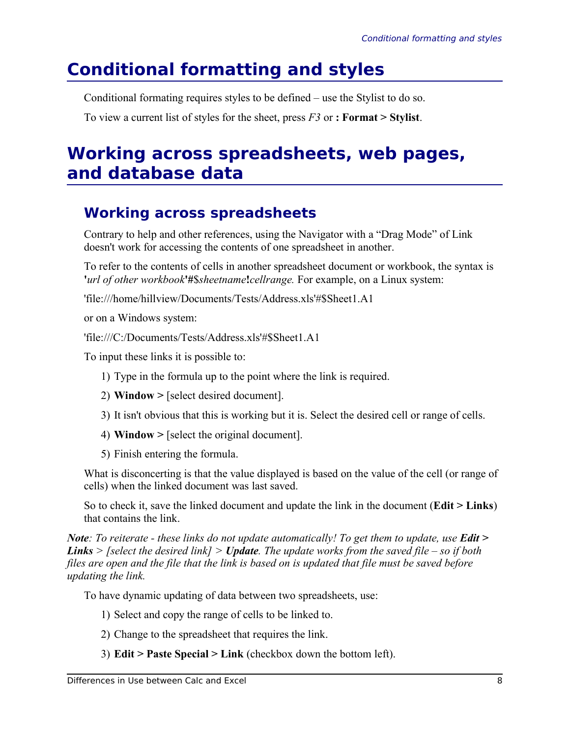## **Conditional formatting and styles**

Conditional formating requires styles to be defined – use the Stylist to do so.

To view a current list of styles for the sheet, press *F3* or **: Format > Stylist**.

#### **Working across spreadsheets, web pages, and database data**

#### **Working across spreadsheets**

Contrary to help and other references, using the Navigator with a "Drag Mode" of Link doesn't work for accessing the contents of one spreadsheet in another.

To refer to the contents of cells in another spreadsheet document or workbook, the syntax is **'***url of other workbook***'#**\$*sheetname***!***cellrange.* For example, on a Linux system:

'file:///home/hillview/Documents/Tests/Address.xls'#\$Sheet1.A1

or on a Windows system:

'file:///C:/Documents/Tests/Address.xls'#\$Sheet1.A1

To input these links it is possible to:

- 1) Type in the formula up to the point where the link is required.
- 2) **Window >** [select desired document].
- 3) It isn't obvious that this is working but it is. Select the desired cell or range of cells.
- 4) **Window >** [select the original document].
- 5) Finish entering the formula.

What is disconcerting is that the value displayed is based on the value of the cell (or range of cells) when the linked document was last saved.

So to check it, save the linked document and update the link in the document (**Edit > Links**) that contains the link.

*Note: To reiterate - these links do not update automatically! To get them to update, use <i>Edit* > *Links > [select the desired link] > Update. The update works from the saved file – so if both files are open and the file that the link is based on is updated that file must be saved before updating the link.*

To have dynamic updating of data between two spreadsheets, use:

- 1) Select and copy the range of cells to be linked to.
- 2) Change to the spreadsheet that requires the link.
- 3) **Edit > Paste Special > Link** (checkbox down the bottom left).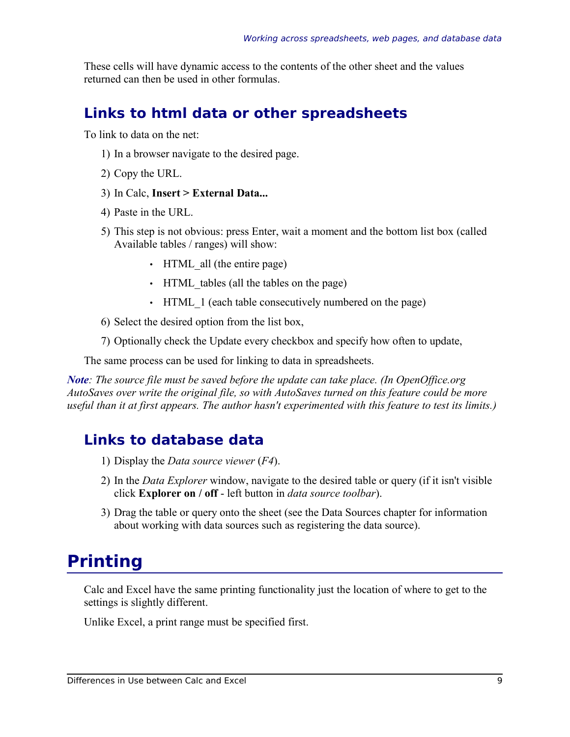These cells will have dynamic access to the contents of the other sheet and the values returned can then be used in other formulas.

#### **Links to html data or other spreadsheets**

To link to data on the net:

- 1) In a browser navigate to the desired page.
- 2) Copy the URL.
- 3) In Calc, **Insert > External Data...**
- 4) Paste in the URL.
- 5) This step is not obvious: press Enter, wait a moment and the bottom list box (called Available tables / ranges) will show:
	- HTML all (the entire page)
	- HTML tables (all the tables on the page)
	- HTML 1 (each table consecutively numbered on the page)
- 6) Select the desired option from the list box,
- 7) Optionally check the Update every checkbox and specify how often to update,

The same process can be used for linking to data in spreadsheets.

*Note: The source file must be saved before the update can take place. (In OpenOffice.org AutoSaves over write the original file, so with AutoSaves turned on this feature could be more useful than it at first appears. The author hasn't experimented with this feature to test its limits.)*

#### **Links to database data**

- 1) Display the *Data source viewer* (*F4*).
- 2) In the *Data Explorer* window, navigate to the desired table or query (if it isn't visible click **Explorer on / off** - left button in *data source toolbar*).
- 3) Drag the table or query onto the sheet (see the Data Sources chapter for information about working with data sources such as registering the data source).

#### **Printing**

Calc and Excel have the same printing functionality just the location of where to get to the settings is slightly different.

Unlike Excel, a print range must be specified first.